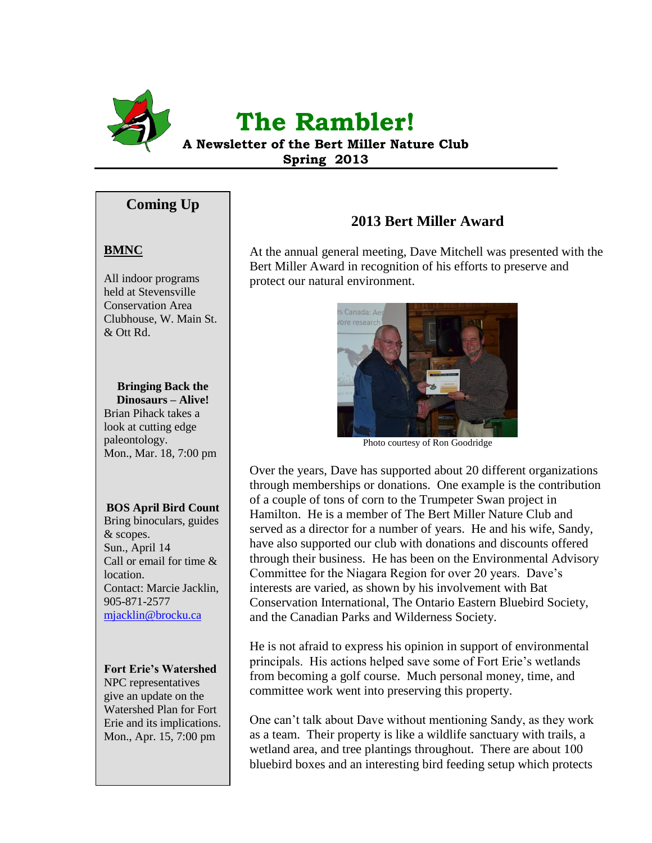

# **The Rambler!**

**A Newsletter of the Bert Miller Nature Club Spring 2013**

### **Coming Up**

#### **BMNC**

All indoor programs held at Stevensville Conservation Area Clubhouse, W. Main St. & Ott Rd.

#### **Bringing Back the Dinosaurs – Alive!**

Brian Pihack takes a look at cutting edge paleontology. Mon., Mar. 18, 7:00 pm

#### **BOS April Bird Count**

Bring binoculars, guides & scopes. Sun., April 14 Call or email for time & location. Contact: Marcie Jacklin, 905-871-2577 [mjacklin@brocku.ca](mailto:mjacklin@brocku.ca)

#### **Fort Erie's Watershed**

NPC representatives give an update on the Watershed Plan for Fort Erie and its implications. Mon., Apr. 15, 7:00 pm

# **2013 Bert Miller Award**

At the annual general meeting, Dave Mitchell was presented with the Bert Miller Award in recognition of his efforts to preserve and protect our natural environment.



Photo courtesy of Ron Goodridge

Over the years, Dave has supported about 20 different organizations through memberships or donations. One example is the contribution of a couple of tons of corn to the Trumpeter Swan project in Hamilton. He is a member of The Bert Miller Nature Club and served as a director for a number of years. He and his wife, Sandy, have also supported our club with donations and discounts offered through their business. He has been on the Environmental Advisory Committee for the Niagara Region for over 20 years. Dave's interests are varied, as shown by his involvement with Bat Conservation International, The Ontario Eastern Bluebird Society, and the Canadian Parks and Wilderness Society.

He is not afraid to express his opinion in support of environmental principals. His actions helped save some of Fort Erie's wetlands from becoming a golf course. Much personal money, time, and committee work went into preserving this property.

One can't talk about Dave without mentioning Sandy, as they work as a team. Their property is like a wildlife sanctuary with trails, a wetland area, and tree plantings throughout. There are about 100 bluebird boxes and an interesting bird feeding setup which protects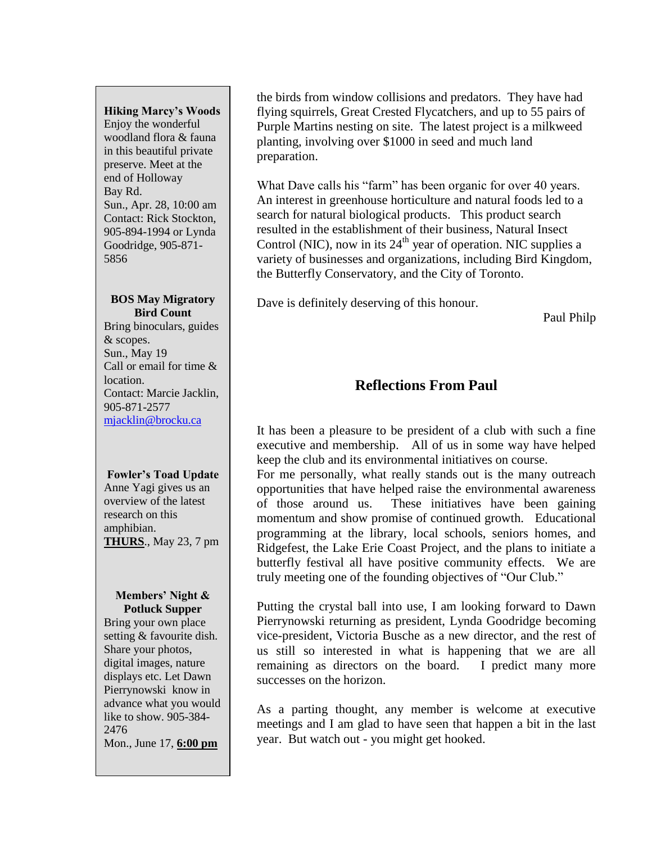#### **Hiking Marcy's Woods**

Enjoy the wonderful woodland flora & fauna in this beautiful private preserve. Meet at the end of Holloway Bay Rd. Sun., Apr. 28, 10:00 am Contact: Rick Stockton, 905-894-1994 or Lynda Goodridge, 905-871- 5856

#### **BOS May Migratory Bird Count**

Bring binoculars, guides & scopes. Sun., May 19 Call or email for time & location. Contact: Marcie Jacklin, 905-871-2577 [mjacklin@brocku.ca](mailto:mjacklin@brocku.ca)

#### **Fowler's Toad Update**

Anne Yagi gives us an overview of the latest research on this amphibian. **THURS**., May 23, 7 pm

#### **Members' Night & Potluck Supper**

Bring your own place setting & favourite dish. Share your photos, digital images, nature displays etc. Let Dawn Pierrynowski know in advance what you would like to show. 905-384- 2476 Mon., June 17, **6:00 pm**

the birds from window collisions and predators. They have had flying squirrels, Great Crested Flycatchers, and up to 55 pairs of Purple Martins nesting on site. The latest project is a milkweed planting, involving over \$1000 in seed and much land preparation.

What Dave calls his "farm" has been organic for over 40 years. An interest in greenhouse horticulture and natural foods led to a search for natural biological products. This product search resulted in the establishment of their business, Natural Insect Control (NIC), now in its  $24<sup>th</sup>$  year of operation. NIC supplies a variety of businesses and organizations, including Bird Kingdom, the Butterfly Conservatory, and the City of Toronto.

Dave is definitely deserving of this honour.

Paul Philp

# **Reflections From Paul**

It has been a pleasure to be president of a club with such a fine executive and membership. All of us in some way have helped keep the club and its environmental initiatives on course.

For me personally, what really stands out is the many outreach opportunities that have helped raise the environmental awareness of those around us. These initiatives have been gaining momentum and show promise of continued growth. Educational programming at the library, local schools, seniors homes, and Ridgefest, the Lake Erie Coast Project, and the plans to initiate a butterfly festival all have positive community effects. We are truly meeting one of the founding objectives of "Our Club."

Putting the crystal ball into use, I am looking forward to Dawn Pierrynowski returning as president, Lynda Goodridge becoming vice-president, Victoria Busche as a new director, and the rest of us still so interested in what is happening that we are all remaining as directors on the board. I predict many more successes on the horizon.

As a parting thought, any member is welcome at executive meetings and I am glad to have seen that happen a bit in the last year. But watch out - you might get hooked.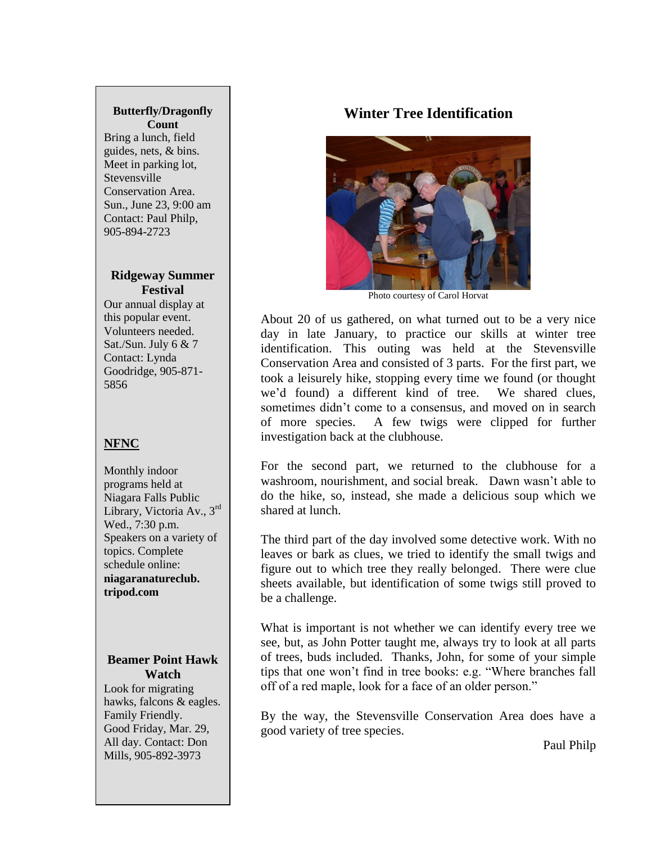#### **Butterfly/Dragonfly Count**

Bring a lunch, field guides, nets, & bins. Meet in parking lot, **Stevensville** Conservation Area. Sun., June 23, 9:00 am Contact: Paul Philp, 905-894-2723

#### **Ridgeway Summer Festival**

Our annual display at this popular event. Volunteers needed. Sat./Sun. July 6 & 7 Contact: Lynda Goodridge, 905-871- 5856

# **NFNC**

Monthly indoor programs held at Niagara Falls Public Library, Victoria Av., 3rd Wed., 7:30 p.m. Speakers on a variety of topics. Complete schedule online: **niagaranatureclub. tripod.com**

#### **Beamer Point Hawk Watch**

Look for migrating hawks, falcons & eagles. Family Friendly. Good Friday, Mar. 29, All day. Contact: Don Mills, 905-892-3973

# **Winter Tree Identification**



Photo courtesy of Carol Horvat

About 20 of us gathered, on what turned out to be a very nice day in late January, to practice our skills at winter tree identification. This outing was held at the Stevensville Conservation Area and consisted of 3 parts. For the first part, we took a leisurely hike, stopping every time we found (or thought we'd found) a different kind of tree. We shared clues, sometimes didn't come to a consensus, and moved on in search of more species. A few twigs were clipped for further investigation back at the clubhouse.

For the second part, we returned to the clubhouse for a washroom, nourishment, and social break. Dawn wasn't able to do the hike, so, instead, she made a delicious soup which we shared at lunch.

The third part of the day involved some detective work. With no leaves or bark as clues, we tried to identify the small twigs and figure out to which tree they really belonged. There were clue sheets available, but identification of some twigs still proved to be a challenge.

What is important is not whether we can identify every tree we see, but, as John Potter taught me, always try to look at all parts of trees, buds included. Thanks, John, for some of your simple tips that one won't find in tree books: e.g. "Where branches fall off of a red maple, look for a face of an older person."

By the way, the Stevensville Conservation Area does have a good variety of tree species.

Paul Philp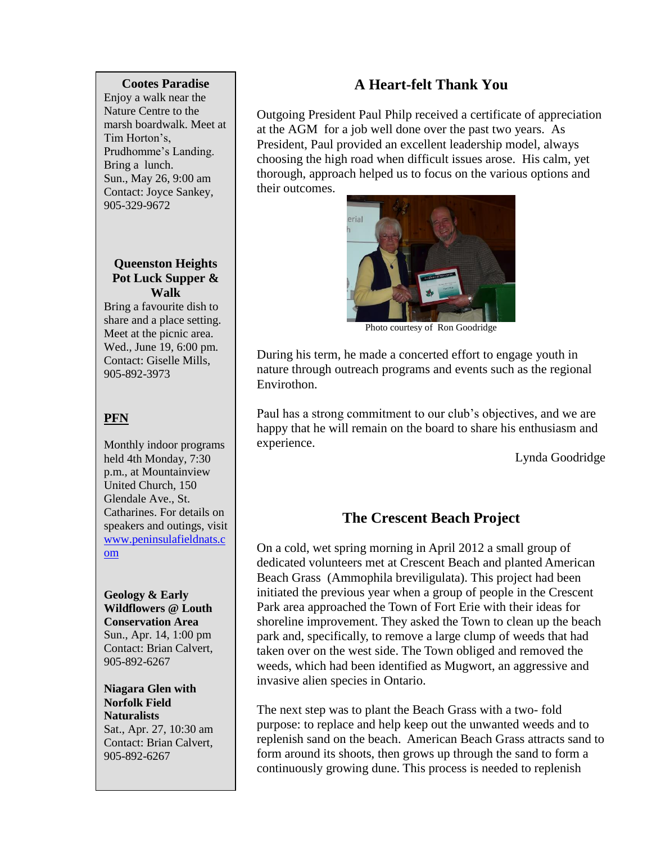#### **Cootes Paradise**

Enjoy a walk near the Nature Centre to the marsh boardwalk. Meet at Tim Horton's, Prudhomme's Landing. Bring a lunch. Sun., May 26, 9:00 am Contact: Joyce Sankey, 905-329-9672

#### **Queenston Heights Pot Luck Supper & Walk**

Bring a favourite dish to share and a place setting. Meet at the picnic area. Wed., June 19, 6:00 pm. Contact: Giselle Mills, 905-892-3973

# **PFN**

Monthly indoor programs held 4th Monday, 7:30 p.m., at Mountainview United Church, 150 Glendale Ave., St. Catharines. For details on speakers and outings, visit [www.peninsulafieldnats.c](http://www.peninsulafieldnats.com/) [om](http://www.peninsulafieldnats.com/)

**Geology & Early Wildflowers @ Louth Conservation Area** Sun., Apr. 14, 1:00 pm Contact: Brian Calvert, 905-892-6267

**Niagara Glen with Norfolk Field Naturalists** Sat., Apr. 27, 10:30 am Contact: Brian Calvert, 905-892-6267

# **A Heart-felt Thank You**

Outgoing President Paul Philp received a certificate of appreciation at the AGM for a job well done over the past two years. As President, Paul provided an excellent leadership model, always choosing the high road when difficult issues arose. His calm, yet thorough, approach helped us to focus on the various options and their outcomes.



Photo courtesy of Ron Goodridge

During his term, he made a concerted effort to engage youth in nature through outreach programs and events such as the regional Envirothon.

Paul has a strong commitment to our club's objectives, and we are happy that he will remain on the board to share his enthusiasm and experience.

Lynda Goodridge

# **The Crescent Beach Project**

On a cold, wet spring morning in April 2012 a small group of dedicated volunteers met at Crescent Beach and planted American Beach Grass (Ammophila breviligulata). This project had been initiated the previous year when a group of people in the Crescent Park area approached the Town of Fort Erie with their ideas for shoreline improvement. They asked the Town to clean up the beach park and, specifically, to remove a large clump of weeds that had taken over on the west side. The Town obliged and removed the weeds, which had been identified as Mugwort, an aggressive and invasive alien species in Ontario.

The next step was to plant the Beach Grass with a two- fold purpose: to replace and help keep out the unwanted weeds and to replenish sand on the beach. American Beach Grass attracts sand to form around its shoots, then grows up through the sand to form a continuously growing dune. This process is needed to replenish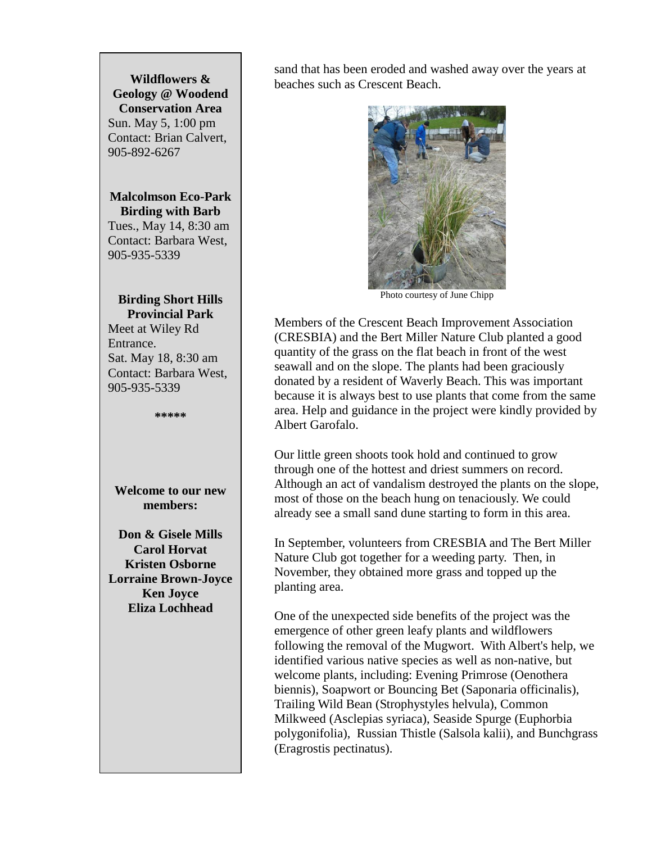#### **Wildflowers & Geology @ Woodend Conservation Area** Sun. May 5, 1:00 pm Contact: Brian Calvert, 905-892-6267

**Malcolmson Eco-Park Birding with Barb**

Tues., May 14, 8:30 am Contact: Barbara West, 905-935-5339

#### **Birding Short Hills Provincial Park**

Meet at Wiley Rd Entrance. Sat. May 18, 8:30 am Contact: Barbara West, 905-935-5339

**\*\*\*\*\***

**Welcome to our new members:**

**Don & Gisele Mills Carol Horvat Kristen Osborne Lorraine Brown-Joyce Ken Joyce Eliza Lochhead**

sand that has been eroded and washed away over the years at beaches such as Crescent Beach.



Photo courtesy of June Chipp

Members of the Crescent Beach Improvement Association (CRESBIA) and the Bert Miller Nature Club planted a good quantity of the grass on the flat beach in front of the west seawall and on the slope. The plants had been graciously donated by a resident of Waverly Beach. This was important because it is always best to use plants that come from the same area. Help and guidance in the project were kindly provided by Albert Garofalo.

Our little green shoots took hold and continued to grow through one of the hottest and driest summers on record. Although an act of vandalism destroyed the plants on the slope, most of those on the beach hung on tenaciously. We could already see a small sand dune starting to form in this area.

In September, volunteers from CRESBIA and The Bert Miller Nature Club got together for a weeding party. Then, in November, they obtained more grass and topped up the planting area.

One of the unexpected side benefits of the project was the emergence of other green leafy plants and wildflowers following the removal of the Mugwort. With Albert's help, we identified various native species as well as non-native, but welcome plants, including: Evening Primrose (Oenothera biennis), Soapwort or Bouncing Bet (Saponaria officinalis), Trailing Wild Bean (Strophystyles helvula), Common Milkweed (Asclepias syriaca), Seaside Spurge (Euphorbia polygonifolia), Russian Thistle (Salsola kalii), and Bunchgrass (Eragrostis pectinatus).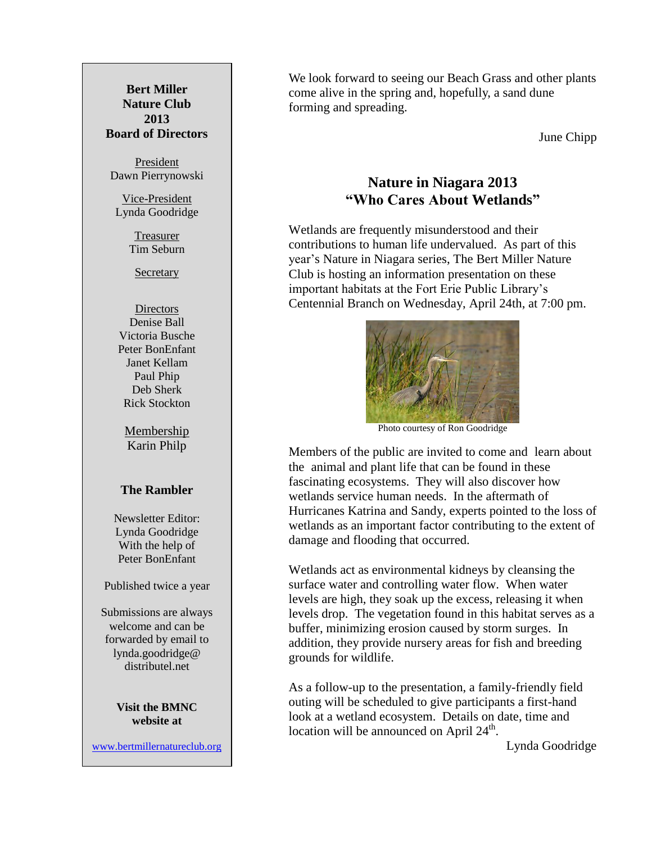**Bert Miller Nature Club 2013 Board of Directors**

President Dawn Pierrynowski

Vice-President Lynda Goodridge

> Treasurer Tim Seburn

**Secretary** 

**Directors** Denise Ball Victoria Busche Peter BonEnfant Janet Kellam Paul Phip Deb Sherk Rick Stockton

Membership Karin Philp

#### **The Rambler**

Newsletter Editor: Lynda Goodridge With the help of Peter BonEnfant

Published twice a year

Submissions are always welcome and can be forwarded by email to lynda.goodridge@ distributel.net

#### **Visit the BMNC website at**

[www.bertmillernatureclub.org](http://www.bertmillernatureclub.org/)

We look forward to seeing our Beach Grass and other plants come alive in the spring and, hopefully, a sand dune forming and spreading.

June Chipp

# **Nature in Niagara 2013 "Who Cares About Wetlands"**

Wetlands are frequently misunderstood and their contributions to human life undervalued. As part of this year's Nature in Niagara series, The Bert Miller Nature Club is hosting an information presentation on these important habitats at the Fort Erie Public Library's Centennial Branch on Wednesday, April 24th, at 7:00 pm.



Photo courtesy of Ron Goodridge

Members of the public are invited to come and learn about the animal and plant life that can be found in these fascinating ecosystems. They will also discover how wetlands service human needs. In the aftermath of Hurricanes Katrina and Sandy, experts pointed to the loss of wetlands as an important factor contributing to the extent of damage and flooding that occurred.

Wetlands act as environmental kidneys by cleansing the surface water and controlling water flow. When water levels are high, they soak up the excess, releasing it when levels drop. The vegetation found in this habitat serves as a buffer, minimizing erosion caused by storm surges. In addition, they provide nursery areas for fish and breeding grounds for wildlife.

As a follow-up to the presentation, a family-friendly field outing will be scheduled to give participants a first-hand look at a wetland ecosystem. Details on date, time and location will be announced on April  $24<sup>th</sup>$ .

Lynda Goodridge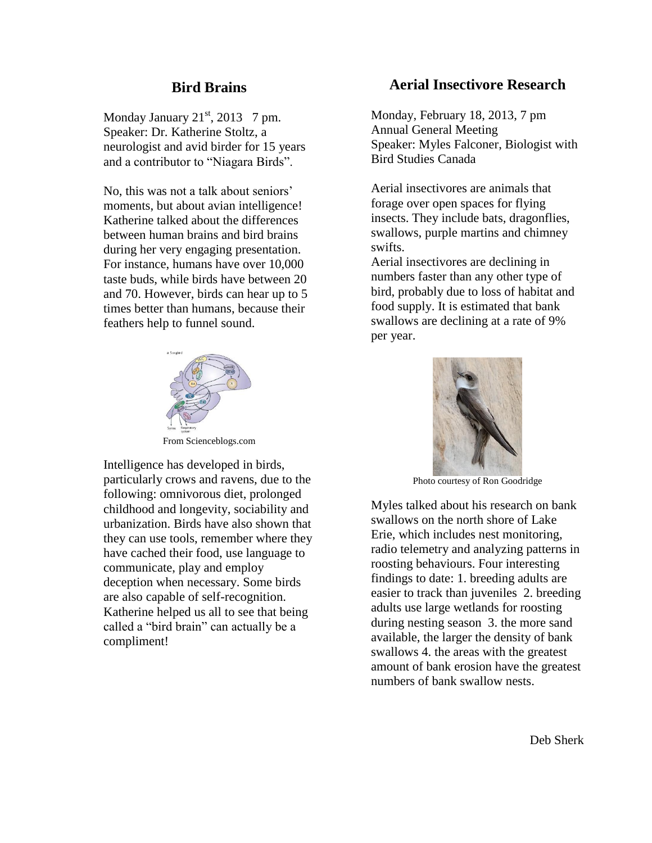### **Bird Brains**

Monday January  $21<sup>st</sup>$ , 2013 7 pm. Speaker: Dr. Katherine Stoltz, a neurologist and avid birder for 15 years and a contributor to "Niagara Birds".

No, this was not a talk about seniors' moments, but about avian intelligence! Katherine talked about the differences between human brains and bird brains during her very engaging presentation. For instance, humans have over 10,000 taste buds, while birds have between 20 and 70. However, birds can hear up to 5 times better than humans, because their feathers help to funnel sound.



From Scienceblogs.com

Intelligence has developed in birds, particularly crows and ravens, due to the following: omnivorous diet, prolonged childhood and longevity, sociability and urbanization. Birds have also shown that they can use tools, remember where they have cached their food, use language to communicate, play and employ deception when necessary. Some birds are also capable of self-recognition. Katherine helped us all to see that being called a "bird brain" can actually be a compliment!

### **Aerial Insectivore Research**

Monday, February 18, 2013, 7 pm Annual General Meeting Speaker: Myles Falconer, Biologist with Bird Studies Canada

Aerial insectivores are animals that forage over open spaces for flying insects. They include bats, dragonflies, swallows, purple martins and chimney swifts.

Aerial insectivores are declining in numbers faster than any other type of bird, probably due to loss of habitat and food supply. It is estimated that bank swallows are declining at a rate of 9% per year.



Photo courtesy of Ron Goodridge

Myles talked about his research on bank swallows on the north shore of Lake Erie, which includes nest monitoring, radio telemetry and analyzing patterns in roosting behaviours. Four interesting findings to date: 1. breeding adults are easier to track than juveniles 2. breeding adults use large wetlands for roosting during nesting season 3. the more sand available, the larger the density of bank swallows 4. the areas with the greatest amount of bank erosion have the greatest numbers of bank swallow nests.